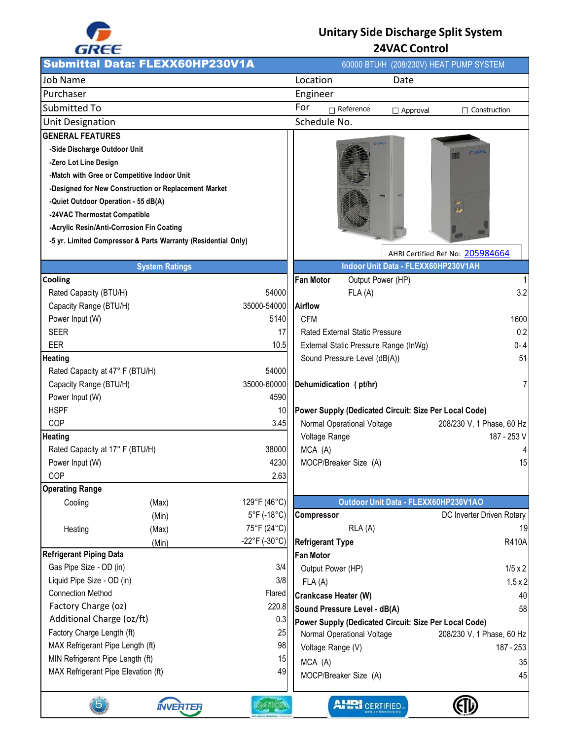

## **Unitary Side Discharge Split System 24VAC Control**

| -----                                                     |                                                               |                         |                                       |                                       |                                       |                                                       |
|-----------------------------------------------------------|---------------------------------------------------------------|-------------------------|---------------------------------------|---------------------------------------|---------------------------------------|-------------------------------------------------------|
|                                                           | <b>Submittal Data: FLEXX60HP230V1A</b>                        |                         |                                       |                                       |                                       | 60000 BTU/H (208/230V) HEAT PUMP SYSTEM               |
| <b>Job Name</b>                                           |                                                               |                         | Location                              |                                       | Date                                  |                                                       |
| Purchaser                                                 |                                                               |                         | Engineer                              |                                       |                                       |                                                       |
| Submitted To                                              |                                                               |                         | For                                   | $\Box$ Reference                      | $\Box$ Approval                       | $\Box$ Construction                                   |
| <b>Unit Designation</b>                                   |                                                               |                         | Schedule No.                          |                                       |                                       |                                                       |
| <b>GENERAL FEATURES</b>                                   |                                                               |                         |                                       |                                       |                                       |                                                       |
| -Side Discharge Outdoor Unit                              |                                                               |                         |                                       |                                       |                                       |                                                       |
| -Zero Lot Line Design                                     |                                                               |                         |                                       |                                       |                                       |                                                       |
|                                                           | -Match with Gree or Competitive Indoor Unit                   |                         |                                       |                                       |                                       |                                                       |
|                                                           | -Designed for New Construction or Replacement Market          |                         |                                       |                                       |                                       |                                                       |
| -Quiet Outdoor Operation - 55 dB(A)                       |                                                               |                         |                                       |                                       |                                       |                                                       |
| -24VAC Thermostat Compatible                              |                                                               |                         |                                       |                                       |                                       |                                                       |
| -Acrylic Resin/Anti-Corrosion Fin Coating                 |                                                               |                         |                                       |                                       |                                       |                                                       |
|                                                           | -5 yr. Limited Compressor & Parts Warranty (Residential Only) |                         |                                       |                                       |                                       |                                                       |
|                                                           |                                                               |                         |                                       |                                       |                                       | AHRI Certified Ref No: 205984664                      |
|                                                           | <b>System Ratings</b>                                         |                         |                                       |                                       | Indoor Unit Data - FLEXX60HP230V1AH   |                                                       |
| Cooling                                                   |                                                               |                         | <b>Fan Motor</b>                      | Output Power (HP)                     |                                       | $\mathbf{1}$                                          |
| Rated Capacity (BTU/H)                                    |                                                               | 54000                   |                                       | FLA(A)                                |                                       | 3.2                                                   |
| Capacity Range (BTU/H)                                    |                                                               | 35000-54000             | Airflow                               |                                       |                                       |                                                       |
| Power Input (W)<br><b>SEER</b>                            |                                                               | 5140<br>17              | <b>CFM</b>                            | <b>Rated External Static Pressure</b> |                                       | 1600<br>0.2                                           |
| <b>EER</b>                                                |                                                               | 10.5                    |                                       |                                       | External Static Pressure Range (InWg) | $0 - .4$                                              |
| Heating                                                   |                                                               |                         |                                       | Sound Pressure Level (dB(A))          |                                       | 51                                                    |
| Rated Capacity at 47° F (BTU/H)                           |                                                               | 54000                   |                                       |                                       |                                       |                                                       |
| Capacity Range (BTU/H)                                    |                                                               | 35000-60000             | Dehumidication (pt/hr)                |                                       |                                       | $\overline{7}$                                        |
| Power Input (W)                                           |                                                               | 4590                    |                                       |                                       |                                       |                                                       |
| <b>HSPF</b>                                               |                                                               | 10                      |                                       |                                       |                                       | Power Supply (Dedicated Circuit: Size Per Local Code) |
| COP                                                       |                                                               | 3.45                    |                                       | Normal Operational Voltage            |                                       | 208/230 V, 1 Phase, 60 Hz                             |
| Heating                                                   |                                                               |                         | Voltage Range                         |                                       |                                       | 187 - 253 V                                           |
| Rated Capacity at 17° F (BTU/H)                           |                                                               | 38000                   | MCA (A)                               |                                       |                                       | 4                                                     |
| Power Input (W)                                           |                                                               | 4230                    |                                       | MOCP/Breaker Size (A)                 |                                       | 15                                                    |
| COP                                                       |                                                               | 2.63                    |                                       |                                       |                                       |                                                       |
| <b>Operating Range</b>                                    |                                                               |                         |                                       |                                       |                                       |                                                       |
| Cooling                                                   | (Max)                                                         | 129°F (46°C)            |                                       |                                       | Outdoor Unit Data - FLEXX60HP230V1AO  |                                                       |
|                                                           | (Min)                                                         | 5°F (-18°C)             | <b>Compressor</b>                     |                                       |                                       | DC Inverter Driven Rotary                             |
| Heating                                                   | (Max)                                                         | 75°F (24°C)             |                                       | RLA (A)                               |                                       | 19                                                    |
|                                                           | (Min)                                                         | $-22^{\circ}$ F (-30°C) | <b>Refrigerant Type</b>               |                                       |                                       | <b>R410A</b>                                          |
| <b>Refrigerant Piping Data</b><br>Gas Pipe Size - OD (in) |                                                               | 3/4                     | <b>Fan Motor</b>                      |                                       |                                       |                                                       |
| Liquid Pipe Size - OD (in)                                |                                                               | 3/8                     | Output Power (HP)                     |                                       |                                       | $1/5 \times 2$<br>$1.5 \times 2$                      |
| <b>Connection Method</b>                                  |                                                               | Flared                  | FLA(A)<br><b>Crankcase Heater (W)</b> |                                       |                                       | 40                                                    |
| Factory Charge (oz)                                       |                                                               | 220.8                   | Sound Pressure Level - dB(A)          |                                       |                                       | 58                                                    |
| Additional Charge (oz/ft)                                 |                                                               | 0.3                     |                                       |                                       |                                       | Power Supply (Dedicated Circuit: Size Per Local Code) |
| Factory Charge Length (ft)                                |                                                               | 25                      |                                       | Normal Operational Voltage            |                                       | 208/230 V, 1 Phase, 60 Hz                             |
| MAX Refrigerant Pipe Length (ft)                          |                                                               | 98                      | Voltage Range (V)                     |                                       |                                       | 187 - 253                                             |
| MIN Refrigerant Pipe Length (ft)                          |                                                               | 15                      | MCA (A)                               |                                       |                                       | 35                                                    |
| MAX Refrigerant Pipe Elevation (ft)                       |                                                               | 49                      |                                       | MOCP/Breaker Size (A)                 |                                       | 45                                                    |
|                                                           |                                                               |                         |                                       |                                       |                                       |                                                       |
|                                                           | <b>INVERTER</b>                                               | R410A                   |                                       | <b>AHRI</b> CERTIFIED                 |                                       |                                                       |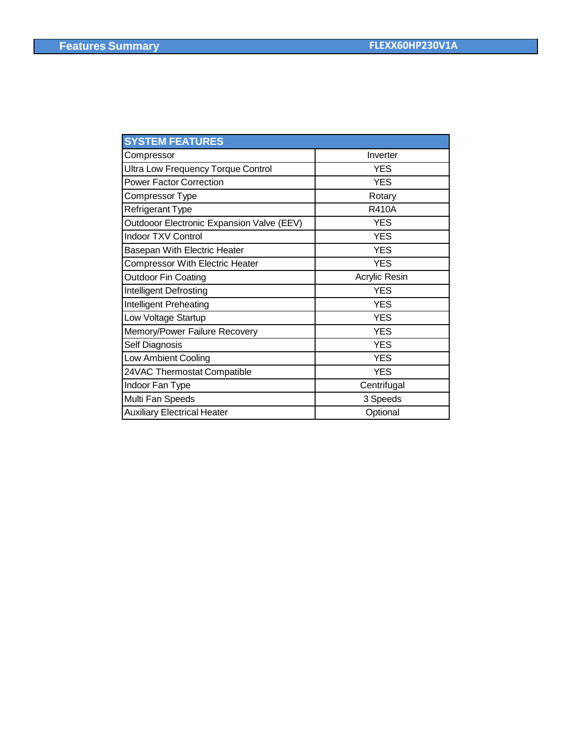| Inverter      |
|---------------|
| <b>YES</b>    |
| <b>YES</b>    |
| Rotary        |
| <b>R410A</b>  |
| <b>YES</b>    |
| <b>YES</b>    |
| <b>YES</b>    |
| <b>YES</b>    |
| Acrylic Resin |
| <b>YES</b>    |
| <b>YES</b>    |
| <b>YES</b>    |
| <b>YES</b>    |
| <b>YES</b>    |
| <b>YES</b>    |
| <b>YES</b>    |
| Centrifugal   |
| 3 Speeds      |
| Optional      |
|               |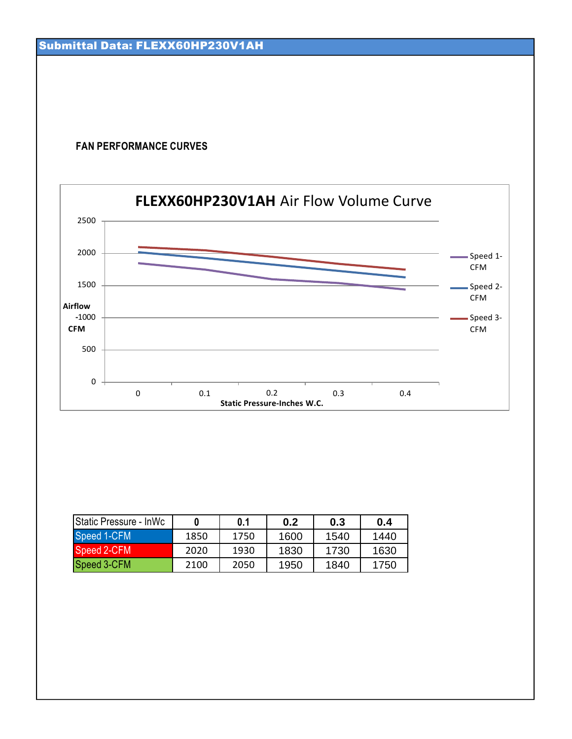## **FAN PERFORMANCE CURVES**



| <b>IStatic Pressure - InWc</b> |      | 0.1  | 0.2  | 0.3  | 0.4  |
|--------------------------------|------|------|------|------|------|
| Speed 1-CFM                    | 1850 | 1750 | 1600 | 1540 | 1440 |
| Speed 2-CFM                    | 2020 | 1930 | 1830 | 1730 | 1630 |
| Speed 3-CFM                    | 2100 | 2050 | 1950 | 1840 | 1750 |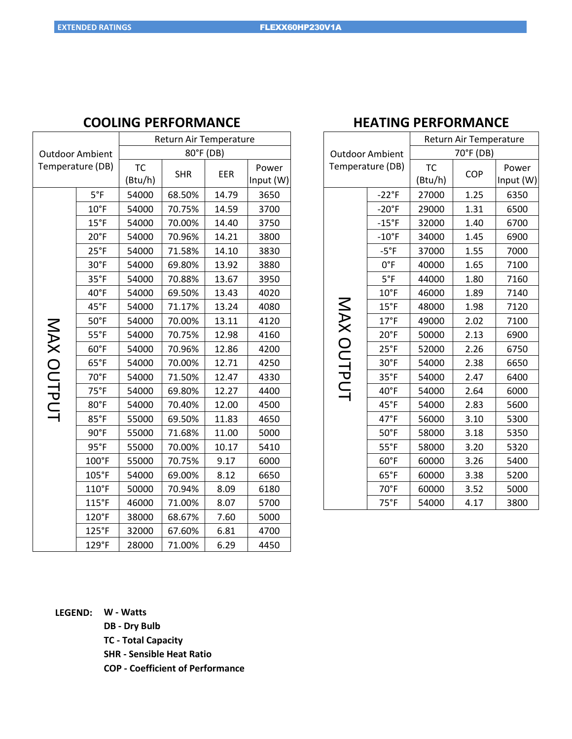| <b>COOLING PERFORMANCE</b> |  |  |
|----------------------------|--|--|
|----------------------------|--|--|

| <b>Outdoor Ambient</b><br>Temperature (DB) |                 | Return Air Temperature |            |       |           |  |  |
|--------------------------------------------|-----------------|------------------------|------------|-------|-----------|--|--|
|                                            |                 | 80°F (DB)              |            |       |           |  |  |
|                                            |                 | <b>TC</b>              | <b>SHR</b> | EER   | Power     |  |  |
|                                            |                 | (Btu/h)                |            |       | Input (W) |  |  |
|                                            | $5^{\circ}F$    | 54000                  | 68.50%     | 14.79 | 3650      |  |  |
|                                            | $10^{\circ}$ F  | 54000                  | 70.75%     | 14.59 | 3700      |  |  |
|                                            | $15^{\circ}$ F  | 54000                  | 70.00%     | 14.40 | 3750      |  |  |
|                                            | $20^{\circ}$ F  | 54000                  | 70.96%     | 14.21 | 3800      |  |  |
|                                            | $25^{\circ}F$   | 54000                  | 71.58%     | 14.10 | 3830      |  |  |
|                                            | 30°F            | 54000                  | 69.80%     | 13.92 | 3880      |  |  |
|                                            | $35^{\circ}F$   | 54000                  | 70.88%     | 13.67 | 3950      |  |  |
|                                            | $40^{\circ}$ F  | 54000                  | 69.50%     | 13.43 | 4020      |  |  |
|                                            | 45°F            | 54000                  | 71.17%     | 13.24 | 4080      |  |  |
| MAX OUTPUT                                 | $50^{\circ}$ F  | 54000                  | 70.00%     | 13.11 | 4120      |  |  |
|                                            | $55^{\circ}$ F  | 54000                  | 70.75%     | 12.98 | 4160      |  |  |
|                                            | 60°F            | 54000                  | 70.96%     | 12.86 | 4200      |  |  |
|                                            | $65^{\circ}F$   | 54000                  | 70.00%     | 12.71 | 4250      |  |  |
|                                            | 70°F            | 54000                  | 71.50%     | 12.47 | 4330      |  |  |
|                                            | $75^{\circ}F$   | 54000                  | 69.80%     | 12.27 | 4400      |  |  |
|                                            | 80°F            | 54000                  | 70.40%     | 12.00 | 4500      |  |  |
|                                            | 85°F            | 55000                  | 69.50%     | 11.83 | 4650      |  |  |
|                                            | 90°F            | 55000                  | 71.68%     | 11.00 | 5000      |  |  |
|                                            | $95^{\circ}F$   | 55000                  | 70.00%     | 10.17 | 5410      |  |  |
|                                            | $100^{\circ}$ F | 55000                  | 70.75%     | 9.17  | 6000      |  |  |
|                                            | 105°F           | 54000                  | 69.00%     | 8.12  | 6650      |  |  |
|                                            | 110°F           | 50000                  | 70.94%     | 8.09  | 6180      |  |  |
|                                            | 115°F           | 46000                  | 71.00%     | 8.07  | 5700      |  |  |
|                                            | 120°F           | 38000                  | 68.67%     | 7.60  | 5000      |  |  |
|                                            | 125°F           | 32000                  | 67.60%     | 6.81  | 4700      |  |  |
|                                            | 129°F           | 28000                  | 71.00%     | 6.29  | 4450      |  |  |

## **HEATING PERFORMANCE**

|                        |                | Return Air Temperature |      |           |  |  |
|------------------------|----------------|------------------------|------|-----------|--|--|
| <b>Outdoor Ambient</b> |                | 70°F (DB)              |      |           |  |  |
| Temperature (DB)       |                | <b>TC</b>              | COP  | Power     |  |  |
|                        |                | (Btu/h)                |      | Input (W) |  |  |
|                        | $-22^{\circ}F$ | 27000                  | 1.25 | 6350      |  |  |
|                        | $-20^\circ F$  | 29000                  | 1.31 | 6500      |  |  |
|                        | $-15$ °F       | 32000                  | 1.40 | 6700      |  |  |
|                        | $-10$ °F       | 34000                  | 1.45 | 6900      |  |  |
|                        | $-5$ °F        | 37000                  | 1.55 | 7000      |  |  |
|                        | $0^{\circ}$ F  | 40000                  | 1.65 | 7100      |  |  |
|                        | $5^{\circ}F$   | 44000                  | 1.80 | 7160      |  |  |
|                        | $10^{\circ}$ F | 46000                  | 1.89 | 7140      |  |  |
| MAX OUTPUT             | $15^{\circ}$ F | 48000                  | 1.98 | 7120      |  |  |
|                        | $17^{\circ}$ F | 49000                  | 2.02 | 7100      |  |  |
|                        | $20^{\circ}$ F | 50000                  | 2.13 | 6900      |  |  |
|                        | 25°F           | 52000                  | 2.26 | 6750      |  |  |
|                        | 30°F           | 54000                  | 2.38 | 6650      |  |  |
|                        | $35^{\circ}F$  | 54000                  | 2.47 | 6400      |  |  |
|                        | $40^{\circ}$ F | 54000                  | 2.64 | 6000      |  |  |
|                        | 45°F           | 54000                  | 2.83 | 5600      |  |  |
|                        | 47°F           | 56000                  | 3.10 | 5300      |  |  |
|                        | $50^{\circ}$ F | 58000                  | 3.18 | 5350      |  |  |
|                        | $55^{\circ}$ F | 58000                  | 3.20 | 5320      |  |  |
|                        | 60°F           | 60000                  | 3.26 | 5400      |  |  |
|                        | $65^{\circ}$ F | 60000                  | 3.38 | 5200      |  |  |
|                        | 70°F           | 60000                  | 3.52 | 5000      |  |  |
|                        | $75^{\circ}F$  | 54000                  | 4.17 | 3800      |  |  |

**LEGEND: W - Watts**

**DB - Dry Bulb**

**TC - Total Capacity**

**SHR - Sensible Heat Ratio**

**COP - Coefficient of Performance**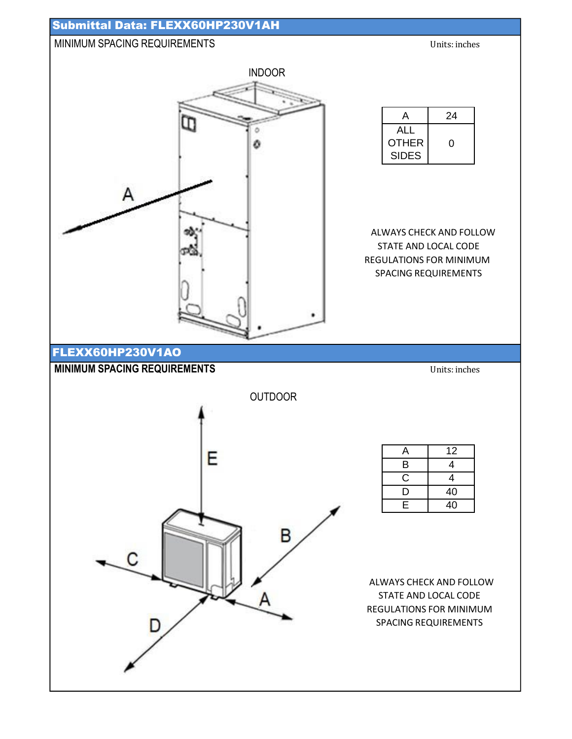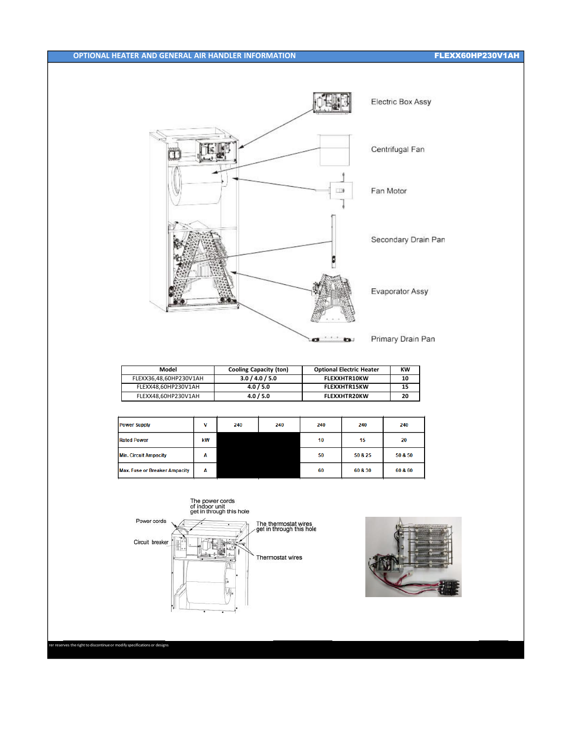## FLEXX60HP230V1AH



| Model                  | <b>Cooling Capacity (ton)</b> | <b>Optional Electric Heater</b> | кw |
|------------------------|-------------------------------|---------------------------------|----|
| FLEXX36.48.60HP230V1AH | 3.0 / 4.0 / 5.0               | <b>FLEXXHTR10KW</b>             |    |
| FLEXX48.60HP230V1AH    | 4.0 / 5.0                     | <b>FLEXXHTR15KW</b>             | 15 |
| FLEXX48.60HP230V1AH    | 4.0 / 5.0                     | <b>FLEXXHTR20KW</b>             | 20 |

| <b>Power Supply</b>                  | v  | 240 | 240 | 240 | 240     | 240     |
|--------------------------------------|----|-----|-----|-----|---------|---------|
| <b>Rated Power</b>                   | kW |     |     | 10  | 15      | 20      |
| <b>Min. Circuit Ampacity</b>         | A  |     |     | 50  | 50 & 25 | 50 & 50 |
| <b>Max. Fuse or Breaker Ampacity</b> | Α  |     |     | 60  | 60 & 30 | 60 & 60 |